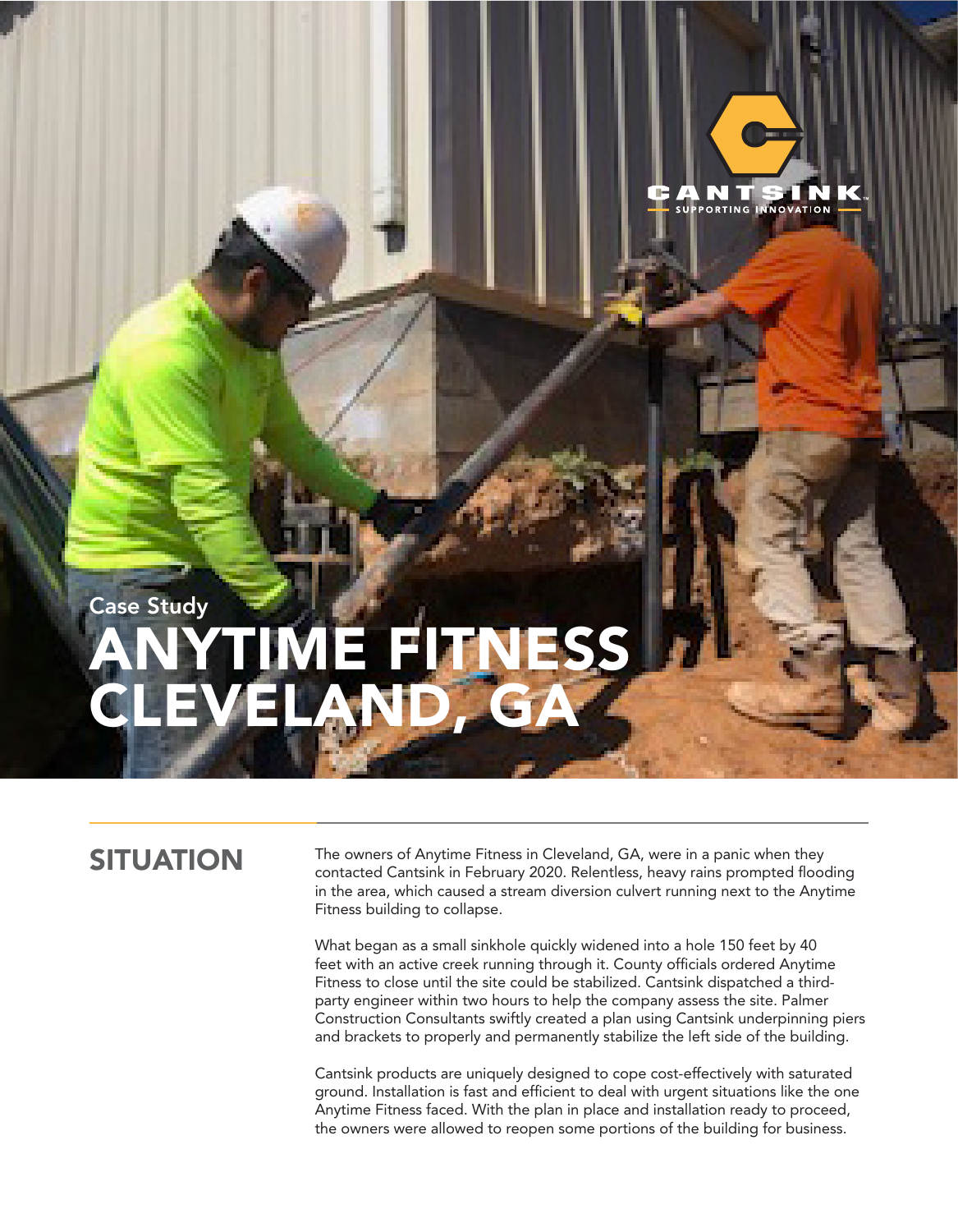

## Case Study ANYTIME FITNESS CLEVELAND, GA

SITUATION The owners of Anytime Fitness in Cleveland, GA, were in a panic when they contacted Cantsink in February 2020. Relentless, heavy rains prompted flooding in the area, which caused a stream diversion culvert running next to the Anytime Fitness building to collapse.

> What began as a small sinkhole quickly widened into a hole 150 feet by 40 feet with an active creek running through it. County officials ordered Anytime Fitness to close until the site could be stabilized. Cantsink dispatched a thirdparty engineer within two hours to help the company assess the site. Palmer Construction Consultants swiftly created a plan using Cantsink underpinning piers and brackets to properly and permanently stabilize the left side of the building.

Cantsink products are uniquely designed to cope cost-effectively with saturated ground. Installation is fast and efficient to deal with urgent situations like the one Anytime Fitness faced. With the plan in place and installation ready to proceed, the owners were allowed to reopen some portions of the building for business.